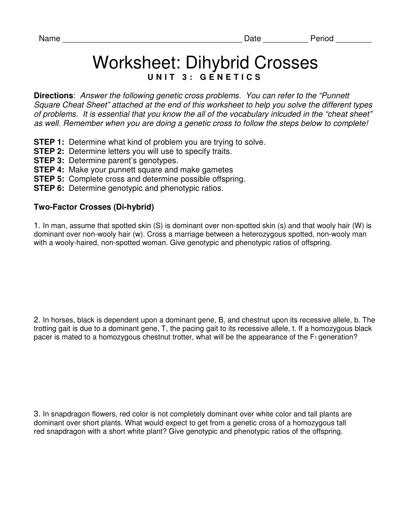## Worksheet: Dihybrid Crosses **U N I T 3 : G E N E T I C S**

**Directions**: Answer the following genetic cross problems. You can refer to the "Punnett Square Cheat Sheet" attached at the end of this worksheet to help you solve the different types of problems. It is essential that you know the all of the vocabulary inlcuded in the "cheat sheet" as well. Remember when you are doing a genetic cross to follow the steps below to complete!

- **STEP 1:** Determine what kind of problem you are trying to solve.
- **STEP 2:** Determine letters you will use to specify traits.
- **STEP 3:** Determine parent's genotypes.
- **STEP 4:** Make your punnett square and make gametes
- **STEP 5:** Complete cross and determine possible offspring.
- **STEP 6:** Determine genotypic and phenotypic ratios.

## **Two-Factor Crosses (Di-hybrid)**

1. In man, assume that spotted skin (S) is dominant over non-spotted skin (s) and that wooly hair (W) is dominant over non-wooly hair (w). Cross a marriage between a heterozygous spotted, non-wooly man with a wooly-haired, non-spotted woman. Give genotypic and phenotypic ratios of offspring.

2. In horses, black is dependent upon a dominant gene, B, and chestnut upon its recessive allele, b. The trotting gait is due to a dominant gene, T, the pacing gait to its recessive allele, t. If a homozygous black pacer is mated to a homozygous chestnut trotter, what will be the appearance of the  $F_1$  generation?

3. In snapdragon flowers, red color is not completely dominant over white color and tall plants are dominant over short plants. What would expect to get from a genetic cross of a homozygous tall red snapdragon with a short white plant? Give genotypic and phenotypic ratios of the offspring.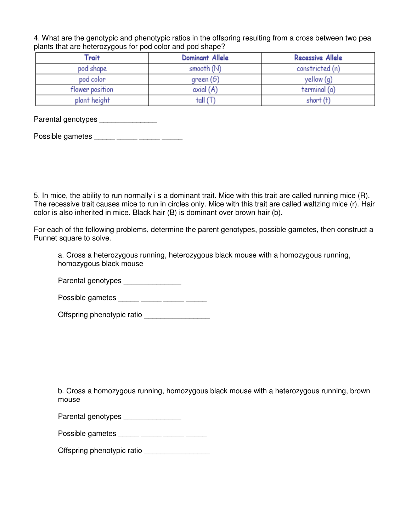4. What are the genotypic and phenotypic ratios in the offspring resulting from a cross between two pea plants that are heterozygous for pod color and pod shape?

| Trait           | Dominant Allele | <b>Recessive Allele</b> |
|-----------------|-----------------|-------------------------|
| pod shape       | smooth $(N)$    | constricted (n)         |
| pod color       | green (6)       | yellow (q)              |
| flower position | axial(A)        | terminal (a)            |
| plant height    | tall (T         | short (t)               |

Parental genotypes \_\_\_\_\_\_\_\_\_\_\_\_\_\_\_

| Possible gametes |  |  |
|------------------|--|--|
|                  |  |  |

5. In mice, the ability to run normally i s a dominant trait. Mice with this trait are called running mice (R). The recessive trait causes mice to run in circles only. Mice with this trait are called waltzing mice (r). Hair color is also inherited in mice. Black hair (B) is dominant over brown hair (b).

For each of the following problems, determine the parent genotypes, possible gametes, then construct a Punnet square to solve.

a. Cross a heterozygous running, heterozygous black mouse with a homozygous running, homozygous black mouse

Parental genotypes

Possible gametes \_\_\_\_\_ \_\_\_\_\_ \_\_\_\_\_ \_\_\_\_\_

Offspring phenotypic ratio \_\_\_\_\_\_\_\_\_\_\_\_\_\_\_\_\_\_

b. Cross a homozygous running, homozygous black mouse with a heterozygous running, brown mouse

| Parental genotypes |  |
|--------------------|--|
|--------------------|--|

Possible gametes \_\_\_\_\_ \_\_\_\_\_ \_\_\_\_\_ \_\_\_\_\_

Offspring phenotypic ratio \_\_\_\_\_\_\_\_\_\_\_\_\_\_\_\_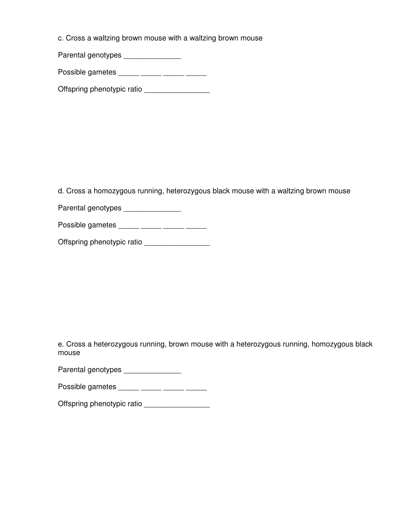c. Cross a waltzing brown mouse with a waltzing brown mouse

Parental genotypes \_\_\_\_\_\_\_\_\_\_\_\_\_\_\_\_

Possible gametes \_\_\_\_\_ \_\_\_\_\_ \_\_\_\_\_ \_\_\_\_\_

Offspring phenotypic ratio

d. Cross a homozygous running, heterozygous black mouse with a waltzing brown mouse

Parental genotypes \_\_\_\_\_\_\_\_\_\_\_\_\_\_\_\_

Possible gametes \_\_\_\_\_ \_\_\_\_\_ \_\_\_\_\_ \_\_\_\_\_

Offspring phenotypic ratio \_\_\_\_\_\_\_\_\_\_\_\_\_\_\_\_

e. Cross a heterozygous running, brown mouse with a heterozygous running, homozygous black mouse

Parental genotypes \_\_\_\_\_\_\_\_\_\_\_\_\_\_\_

Possible gametes \_\_\_\_\_ \_\_\_\_\_ \_\_\_\_\_ \_\_\_\_\_ \_\_\_\_\_

Offspring phenotypic ratio